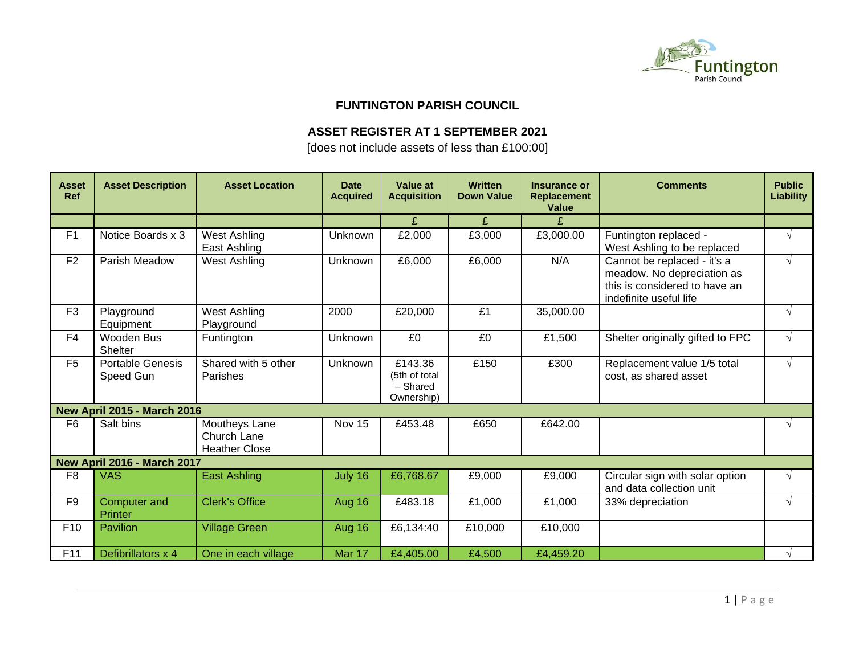

### **FUNTINGTON PARISH COUNCIL**

# **ASSET REGISTER AT 1 SEPTEMBER 2021**

[does not include assets of less than £100:00]

| <b>Asset</b><br><b>Ref</b> | <b>Asset Description</b>             | <b>Asset Location</b>                                | <b>Date</b><br><b>Acquired</b> | <b>Value at</b><br><b>Acquisition</b>              | <b>Written</b><br><b>Down Value</b> | Insurance or<br><b>Replacement</b><br><b>Value</b> | <b>Comments</b>                                                                                                      | <b>Public</b><br><b>Liability</b> |
|----------------------------|--------------------------------------|------------------------------------------------------|--------------------------------|----------------------------------------------------|-------------------------------------|----------------------------------------------------|----------------------------------------------------------------------------------------------------------------------|-----------------------------------|
|                            |                                      |                                                      |                                | £                                                  | £                                   | £                                                  |                                                                                                                      |                                   |
| F <sub>1</sub>             | Notice Boards x 3                    | West Ashling<br>East Ashling                         | Unknown                        | £2,000                                             | £3,000                              | £3,000.00                                          | Funtington replaced -<br>West Ashling to be replaced                                                                 |                                   |
| F <sub>2</sub>             | Parish Meadow                        | <b>West Ashling</b>                                  | Unknown                        | £6,000                                             | £6,000                              | N/A                                                | Cannot be replaced - it's a<br>meadow. No depreciation as<br>this is considered to have an<br>indefinite useful life | $\sqrt{ }$                        |
| F <sub>3</sub>             | Playground<br>Equipment              | <b>West Ashling</b><br>Playground                    | 2000                           | £20,000                                            | £1                                  | 35,000.00                                          |                                                                                                                      | $\sqrt{ }$                        |
| F <sub>4</sub>             | Wooden Bus<br><b>Shelter</b>         | Funtington                                           | Unknown                        | £0                                                 | £0                                  | £1,500                                             | Shelter originally gifted to FPC                                                                                     | $\sqrt{ }$                        |
| F <sub>5</sub>             | <b>Portable Genesis</b><br>Speed Gun | Shared with 5 other<br>Parishes                      | Unknown                        | £143.36<br>(5th of total<br>- Shared<br>Ownership) | £150                                | £300                                               | Replacement value 1/5 total<br>cost, as shared asset                                                                 |                                   |
|                            | <b>New April 2015 - March 2016</b>   |                                                      |                                |                                                    |                                     |                                                    |                                                                                                                      |                                   |
| F <sub>6</sub>             | Salt bins                            | Moutheys Lane<br>Church Lane<br><b>Heather Close</b> | Nov 15                         | £453.48                                            | £650                                | £642.00                                            |                                                                                                                      |                                   |
|                            | <b>New April 2016 - March 2017</b>   |                                                      |                                |                                                    |                                     |                                                    |                                                                                                                      |                                   |
| F <sub>8</sub>             | <b>VAS</b>                           | <b>East Ashling</b>                                  | July 16                        | £6,768.67                                          | £9,000                              | £9,000                                             | Circular sign with solar option<br>and data collection unit                                                          |                                   |
| F <sub>9</sub>             | Computer and<br>Printer              | <b>Clerk's Office</b>                                | Aug 16                         | £483.18                                            | £1,000                              | £1,000                                             | 33% depreciation                                                                                                     | $\sqrt{ }$                        |
| F <sub>10</sub>            | <b>Pavilion</b>                      | <b>Village Green</b>                                 | Aug 16                         | £6,134:40                                          | £10,000                             | £10,000                                            |                                                                                                                      |                                   |
| F11                        | Defibrillators x 4                   | One in each village                                  | Mar 17                         | £4,405.00                                          | £4,500                              | £4,459.20                                          |                                                                                                                      |                                   |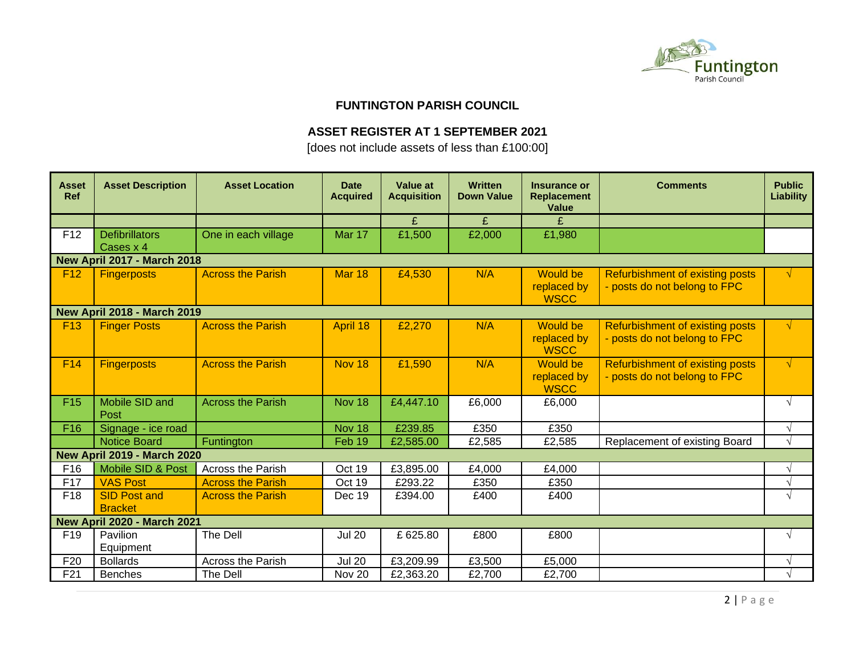

#### **FUNTINGTON PARISH COUNCIL**

## **ASSET REGISTER AT 1 SEPTEMBER 2021**

[does not include assets of less than £100:00]

| <b>Asset</b><br><b>Ref</b> | <b>Asset Description</b>              | <b>Asset Location</b>    | <b>Date</b><br><b>Acquired</b> | <b>Value at</b><br><b>Acquisition</b> | <b>Written</b><br><b>Down Value</b> | Insurance or<br><b>Replacement</b><br>Value   | <b>Comments</b>                                                        | <b>Public</b><br><b>Liability</b> |  |  |
|----------------------------|---------------------------------------|--------------------------|--------------------------------|---------------------------------------|-------------------------------------|-----------------------------------------------|------------------------------------------------------------------------|-----------------------------------|--|--|
|                            |                                       |                          |                                | £                                     | £                                   | £                                             |                                                                        |                                   |  |  |
| F <sub>12</sub>            | <b>Defibrillators</b><br>Cases x 4    | One in each village      | Mar 17                         | £1,500                                | £2,000                              | £1,980                                        |                                                                        |                                   |  |  |
|                            | <b>New April 2017 - March 2018</b>    |                          |                                |                                       |                                     |                                               |                                                                        |                                   |  |  |
| F <sub>12</sub>            | <b>Fingerposts</b>                    | <b>Across the Parish</b> | <b>Mar 18</b>                  | £4,530                                | N/A                                 | <b>Would be</b><br>replaced by<br><b>WSCC</b> | <b>Refurbishment of existing posts</b><br>- posts do not belong to FPC | √                                 |  |  |
|                            | <b>New April 2018 - March 2019</b>    |                          |                                |                                       |                                     |                                               |                                                                        |                                   |  |  |
| F <sub>13</sub>            | <b>Finger Posts</b>                   | <b>Across the Parish</b> | April 18                       | £2,270                                | N/A                                 | <b>Would be</b><br>replaced by<br><b>WSCC</b> | Refurbishment of existing posts<br>- posts do not belong to FPC        | $\sqrt{ }$                        |  |  |
| F <sub>14</sub>            | <b>Fingerposts</b>                    | <b>Across the Parish</b> | Nov 18                         | £1,590                                | N/A                                 | <b>Would be</b><br>replaced by<br><b>WSCC</b> | Refurbishment of existing posts<br>- posts do not belong to FPC        | $\sqrt{ }$                        |  |  |
| F <sub>15</sub>            | Mobile SID and<br>Post                | <b>Across the Parish</b> | Nov 18                         | £4,447.10                             | £6,000                              | £6,000                                        |                                                                        | $\sqrt{ }$                        |  |  |
| F <sub>16</sub>            | Signage - ice road                    |                          | Nov 18                         | £239.85                               | £350                                | £350                                          |                                                                        |                                   |  |  |
|                            | <b>Notice Board</b>                   | Funtington               | Feb 19                         | £2,585.00                             | £2,585                              | £2,585                                        | Replacement of existing Board                                          | $\sqrt{ }$                        |  |  |
|                            | <b>New April 2019 - March 2020</b>    |                          |                                |                                       |                                     |                                               |                                                                        |                                   |  |  |
| F <sub>16</sub>            | Mobile SID & Post                     | <b>Across the Parish</b> | Oct 19                         | £3,895.00                             | £4,000                              | £4,000                                        |                                                                        | $\sqrt{ }$                        |  |  |
| F17                        | <b>VAS Post</b>                       | <b>Across the Parish</b> | Oct 19                         | £293.22                               | £350                                | £350                                          |                                                                        |                                   |  |  |
| F <sub>18</sub>            | <b>SID Post and</b><br><b>Bracket</b> | <b>Across the Parish</b> | Dec 19                         | £394.00                               | £400                                | £400                                          |                                                                        | $\sqrt{ }$                        |  |  |
|                            | <b>New April 2020 - March 2021</b>    |                          |                                |                                       |                                     |                                               |                                                                        |                                   |  |  |
| F <sub>19</sub>            | Pavilion<br>Equipment                 | The Dell                 | <b>Jul 20</b>                  | £625.80                               | £800                                | £800                                          |                                                                        | $\sqrt{ }$                        |  |  |
| F <sub>20</sub>            | <b>Bollards</b>                       | Across the Parish        | <b>Jul 20</b>                  | £3,209.99                             | £3,500                              | £5,000                                        |                                                                        |                                   |  |  |
| F21                        | <b>Benches</b>                        | The Dell                 | Nov 20                         | £2,363.20                             | £2,700                              | £2,700                                        |                                                                        |                                   |  |  |